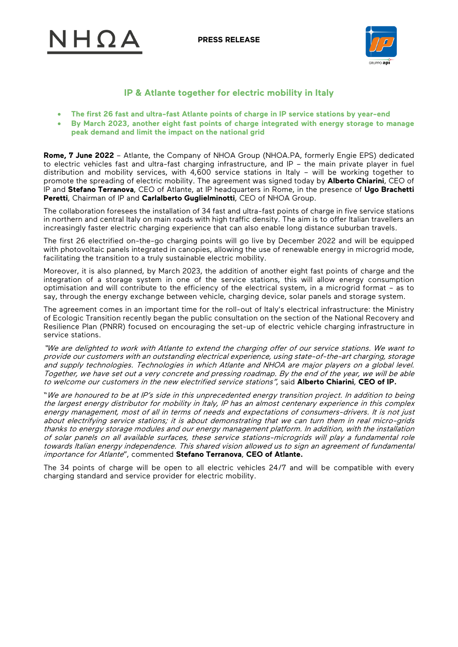**PRESS RELEASE**





# **IP & Atlante together for electric mobility in Italy**

- **The first 26 fast and ultra-fast Atlante points of charge in IP service stations by year-end**
- **By March 2023, another eight fast points of charge integrated with energy storage to manage peak demand and limit the impact on the national grid**

**Rome, 7 June 2022** – Atlante, the Company of NHOA Group (NHOA.PA, formerly Engie EPS) dedicated to electric vehicles fast and ultra-fast charging infrastructure, and IP – the main private player in fuel distribution and mobility services, with 4,600 service stations in Italy – will be working together to promote the spreading of electric mobility. The agreement was signed today by **Alberto Chiarini**, CEO of IP and **Stefano Terranova**, CEO of Atlante, at IP headquarters in Rome, in the presence of **Ugo Brachetti Peretti**, Chairman of IP and **Carlalberto Guglielminotti**, CEO of NHOA Group.

The collaboration foresees the installation of 34 fast and ultra-fast points of charge in five service stations in northern and central Italy on main roads with high traffic density. The aim is to offer Italian travellers an increasingly faster electric charging experience that can also enable long distance suburban travels.

The first 26 electrified on-the-go charging points will go live by December 2022 and will be equipped with photovoltaic panels integrated in canopies, allowing the use of renewable energy in microgrid mode, facilitating the transition to a truly sustainable electric mobility.

Moreover, it is also planned, by March 2023, the addition of another eight fast points of charge and the integration of a storage system in one of the service stations, this will allow energy consumption optimisation and will contribute to the efficiency of the electrical system, in a microgrid format – as to say, through the energy exchange between vehicle, charging device, solar panels and storage system.

The agreement comes in an important time for the roll-out of Italy's electrical infrastructure: the Ministry of Ecologic Transition recently began the public consultation on the section of the National Recovery and Resilience Plan (PNRR) focused on encouraging the set-up of electric vehicle charging infrastructure in service stations.

"We are delighted to work with Atlante to extend the charging offer of our service stations. We want to provide our customers with an outstanding electrical experience, using state-of-the-art charging, storage and supply technologies. Technologies in which Atlante and NHOA are major players on a global level. Together, we have set out a very concrete and pressing roadmap. By the end of the year, we will be able to welcome our customers in the new electrified service stations", said **Alberto Chiarini**, **CEO of IP.**

"We are honoured to be at IP's side in this unprecedented energy transition project. In addition to being the largest energy distributor for mobility in Italy, IP has an almost centenary experience in this complex energy management, most of all in terms of needs and expectations of consumers-drivers. It is not just about electrifying service stations; it is about demonstrating that we can turn them in real micro-grids thanks to energy storage modules and our energy management platform. In addition, with the installation of solar panels on all available surfaces, these service stations-microgrids will play a fundamental role towards Italian energy independence. This shared vision allowed us to sign an agreement of fundamental importance for Atlante", commented **Stefano Terranova**, **CEO of Atlante.**

The 34 points of charge will be open to all electric vehicles 24/7 and will be compatible with every charging standard and service provider for electric mobility.